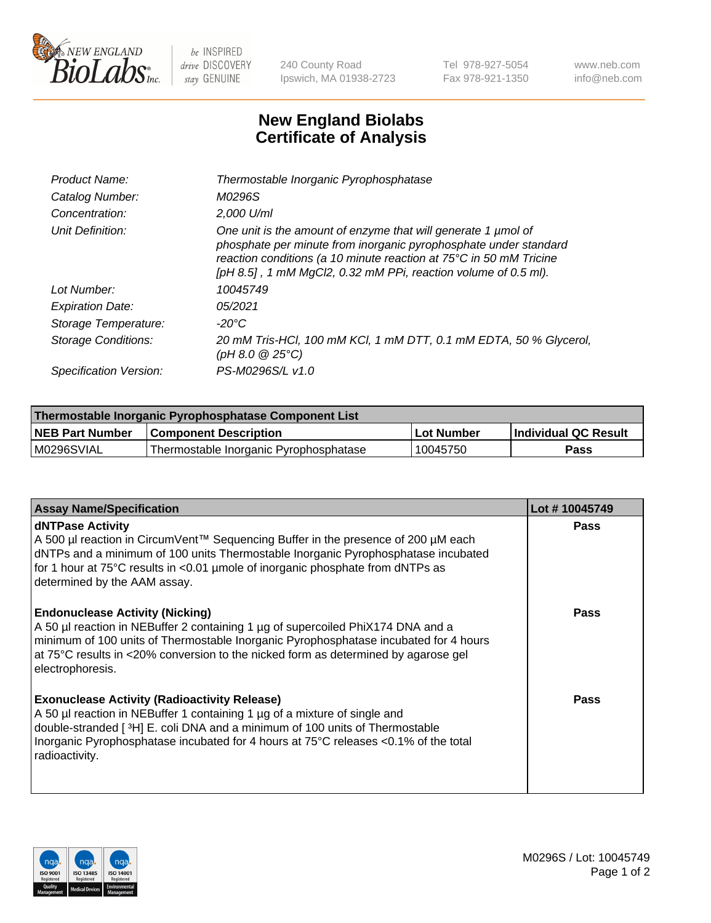

 $be$  INSPIRED drive DISCOVERY stay GENUINE

240 County Road Ipswich, MA 01938-2723 Tel 978-927-5054 Fax 978-921-1350 www.neb.com info@neb.com

## **New England Biolabs Certificate of Analysis**

| Product Name:              | Thermostable Inorganic Pyrophosphatase                                                                                                                                                                                                                                    |
|----------------------------|---------------------------------------------------------------------------------------------------------------------------------------------------------------------------------------------------------------------------------------------------------------------------|
| Catalog Number:            | M0296S                                                                                                                                                                                                                                                                    |
| Concentration:             | $2.000$ U/ml                                                                                                                                                                                                                                                              |
| Unit Definition:           | One unit is the amount of enzyme that will generate 1 µmol of<br>phosphate per minute from inorganic pyrophosphate under standard<br>reaction conditions (a 10 minute reaction at 75°C in 50 mM Tricine<br>[pH 8.5], 1 mM MgCl2, 0.32 mM PPi, reaction volume of 0.5 ml). |
| Lot Number:                | 10045749                                                                                                                                                                                                                                                                  |
| <b>Expiration Date:</b>    | 05/2021                                                                                                                                                                                                                                                                   |
| Storage Temperature:       | -20°C                                                                                                                                                                                                                                                                     |
| <b>Storage Conditions:</b> | 20 mM Tris-HCl, 100 mM KCl, 1 mM DTT, 0.1 mM EDTA, 50 % Glycerol,<br>(pH 8.0 $@25°C$ )                                                                                                                                                                                    |
| Specification Version:     | PS-M0296S/L v1.0                                                                                                                                                                                                                                                          |

| Thermostable Inorganic Pyrophosphatase Component List |                                        |              |                             |  |
|-------------------------------------------------------|----------------------------------------|--------------|-----------------------------|--|
| <b>NEB Part Number</b>                                | <b>Component Description</b>           | ، Lot Number | <b>Individual QC Result</b> |  |
| M0296SVIAL                                            | Thermostable Inorganic Pyrophosphatase | 10045750     | <b>Pass</b>                 |  |

| <b>Assay Name/Specification</b>                                                                                                                                                                                                                                                                                             | Lot #10045749 |
|-----------------------------------------------------------------------------------------------------------------------------------------------------------------------------------------------------------------------------------------------------------------------------------------------------------------------------|---------------|
| <b>dNTPase Activity</b><br>A 500 µl reaction in CircumVent™ Sequencing Buffer in the presence of 200 µM each<br>dNTPs and a minimum of 100 units Thermostable Inorganic Pyrophosphatase incubated<br>for 1 hour at 75°C results in <0.01 µmole of inorganic phosphate from dNTPs as<br>determined by the AAM assay.         | <b>Pass</b>   |
| <b>Endonuclease Activity (Nicking)</b><br>A 50 µl reaction in NEBuffer 2 containing 1 µg of supercoiled PhiX174 DNA and a<br>minimum of 100 units of Thermostable Inorganic Pyrophosphatase incubated for 4 hours<br>at 75°C results in <20% conversion to the nicked form as determined by agarose gel<br>electrophoresis. | <b>Pass</b>   |
| <b>Exonuclease Activity (Radioactivity Release)</b><br>A 50 µl reaction in NEBuffer 1 containing 1 µg of a mixture of single and<br>double-stranded [3H] E. coli DNA and a minimum of 100 units of Thermostable<br>Inorganic Pyrophosphatase incubated for 4 hours at 75°C releases <0.1% of the total<br>radioactivity.    | <b>Pass</b>   |